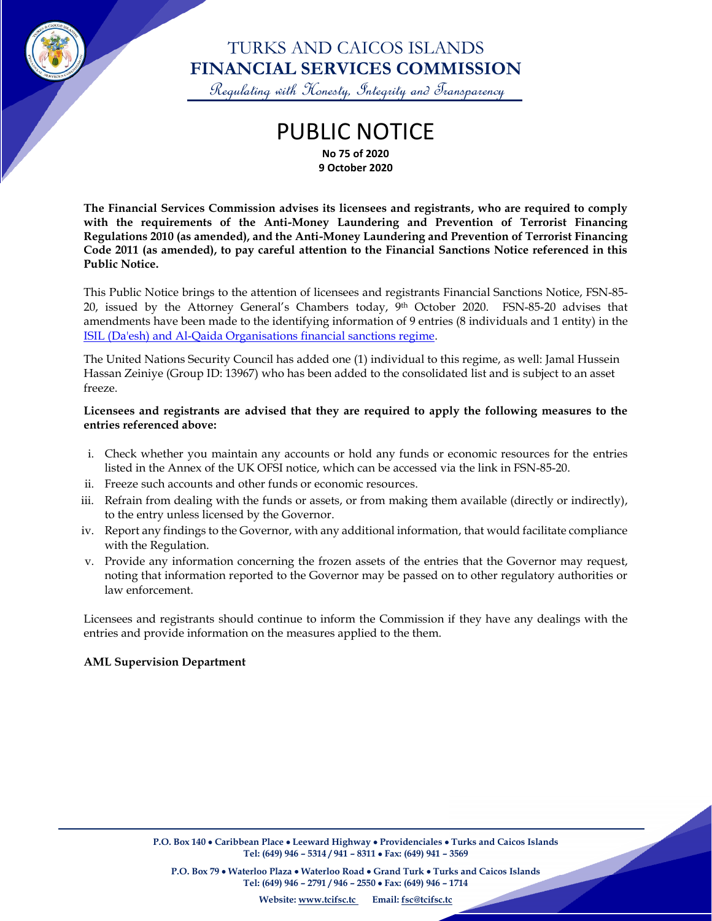

## TURKS AND CAICOS ISLANDS **FINANCIAL SERVICES COMMISSION**

Regulating with Honesty, Integrity and Transparency

### PUBLIC NOTICE **No 75 of 2020 9 October 2020**

**The Financial Services Commission advises its licensees and registrants, who are required to comply with the requirements of the Anti-Money Laundering and Prevention of Terrorist Financing Regulations 2010 (as amended), and the Anti-Money Laundering and Prevention of Terrorist Financing Code 2011 (as amended), to pay careful attention to the Financial Sanctions Notice referenced in this Public Notice.**

This Public Notice brings to the attention of licensees and registrants Financial Sanctions Notice, FSN-85- 20, issued by the Attorney General's Chambers today, 9<sup>th</sup> October 2020. FSN-85-20 advises that amendments have been made to the identifying information of 9 entries (8 individuals and 1 entity) in the [ISIL \(Da'esh\) and Al-Qaida Organisations](https://lnks.gd/l/eyJhbGciOiJIUzI1NiJ9.eyJidWxsZXRpbl9saW5rX2lkIjoxMDAsInVyaSI6ImJwMjpjbGljayIsImJ1bGxldGluX2lkIjoiMjAyMDEwMDkuMjg1MDEyNDEiLCJ1cmwiOiJodHRwczovL3d3dy5nb3YudWsvZ292ZXJubWVudC9wdWJsaWNhdGlvbnMvY3VycmVudC1saXN0LW9mLWRlc2lnbmF0ZWQtcGVyc29ucy1hbC1xYWlkYSJ9.K_OT9MnDWpcl5x4uCyQxG0m00BY4PbRJXmoSIbPNYro/s/1062314785/br/86676794396-l) financial sanctions regime.

The United Nations Security Council has added one (1) individual to this regime, as well: Jamal Hussein Hassan Zeiniye (Group ID: 13967) who has been added to the consolidated list and is subject to an asset freeze.

#### **Licensees and registrants are advised that they are required to apply the following measures to the entries referenced above:**

- i. Check whether you maintain any accounts or hold any funds or economic resources for the entries listed in the Annex of the UK OFSI notice, which can be accessed via the link in FSN-85-20.
- ii. Freeze such accounts and other funds or economic resources.
- iii. Refrain from dealing with the funds or assets, or from making them available (directly or indirectly), to the entry unless licensed by the Governor.
- iv. Report any findings to the Governor, with any additional information, that would facilitate compliance with the Regulation.
- v. Provide any information concerning the frozen assets of the entries that the Governor may request, noting that information reported to the Governor may be passed on to other regulatory authorities or law enforcement.

Licensees and registrants should continue to inform the Commission if they have any dealings with the entries and provide information on the measures applied to the them.

#### **AML Supervision Department**

**P.O. Box 79** • **Waterloo Plaza** • **Waterloo Road** • **Grand Turk** • **Turks and Caicos Islands Tel: (649) 946 – 2791 / 946 – 2550** • **Fax: (649) 946 – 1714**